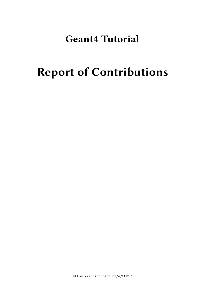# **Geant4 Tutorial**

# **Report of Contributions**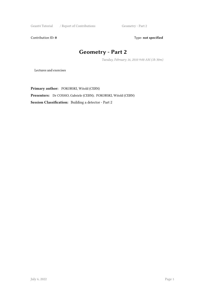Geant4 Tutorial / Report of Contributions Geometry - Part 2

Contribution ID: 0 Type: not specified

# **Geometry - Part 2**

*Tuesday, February 16, 2010 9:00 AM (1h 30m)*

Lectures and exercises

**Primary author:** POKORSKI, Witold (CERN) **Presenters:** Dr COSMO, Gabriele (CERN); POKORSKI, Witold (CERN) **Session Classification:** Building a detector - Part 2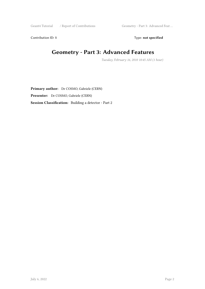Geant4 Tutorial / Report of Contributions Geometry - Part 3: Advanced Feat ...

Contribution ID: 1 Type: **not specified** 

#### **Geometry - Part 3: Advanced Features**

*Tuesday, February 16, 2010 10:45 AM (1 hour)*

**Primary author:** Dr COSMO, Gabriele (CERN) **Presenter:** Dr COSMO, Gabriele (CERN) **Session Classification:** Building a detector - Part 2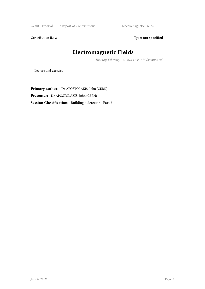Geant4 Tutorial / Report of Contributions Electromagnetic Fields

Contribution ID: 2 Type: **not specified** 

# **Electromagnetic Fields**

*Tuesday, February 16, 2010 11:45 AM (30 minutes)*

Lecture and exercise

**Primary author:** Dr APOSTOLAKIS, John (CERN) **Presenter:** Dr APOSTOLAKIS, John (CERN) **Session Classification:** Building a detector - Part 2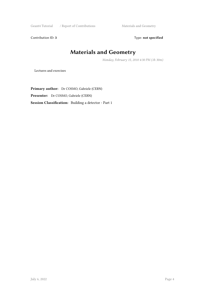Geant4 Tutorial / Report of Contributions Materials and Geometry

Contribution ID: 3 Type: **not specified** 

#### **Materials and Geometry**

*Monday, February 15, 2010 4:30 PM (1h 30m)*

Lectures and exercises

**Primary author:** Dr COSMO, Gabriele (CERN) **Presenter:** Dr COSMO, Gabriele (CERN) **Session Classification:** Building a detector - Part 1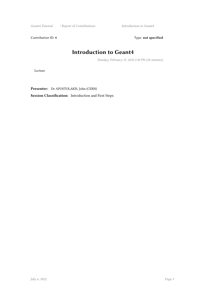Geant4 Tutorial / Report of Contributions Introduction to Geant4

Contribution ID: 4 Type: **not specified** 

#### **Introduction to Geant4**

*Monday, February 15, 2010 2:30 PM (30 minutes)*

Lecture

**Presenter:** Dr APOSTOLAKIS, John (CERN)

**Session Classification:** Introduction and First Steps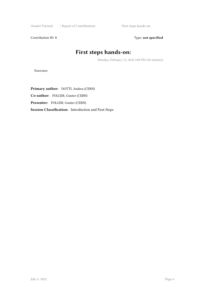Geant4 Tutorial / Report of Contributions First steps hands-on:

Contribution ID: 5 Type: **not specified** 

#### **First steps hands-on:**

*Monday, February 15, 2010 3:00 PM (30 minutes)*

Exercises

**Primary author:** DOTTI, Andrea (CERN) **Co-author:** FOLGER, Gunter (CERN) **Presenter:** FOLGER, Gunter (CERN) **Session Classification:** Introduction and First Steps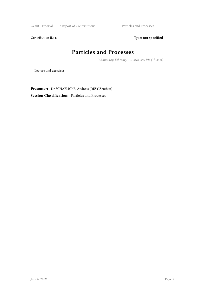Geant4 Tutorial / Report of Contributions Particles and Processes

Contribution ID: 6 Type: not specified

#### **Particles and Processes**

*Wednesday, February 17, 2010 2:00 PM (1h 30m)*

Lecture and exercises

**Presenter:** Dr SCHAELICKE, Andreas (DESY Zeuthen) **Session Classification:** Particles and Processes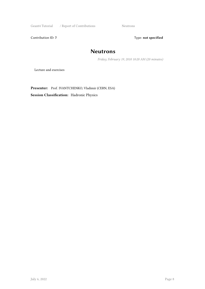Geant4 Tutorial / Report of Contributions Neutrons

Contribution ID: 7 Type: **not specified** 

#### **Neutrons**

*Friday, February 19, 2010 10:20 AM (20 minutes)*

Lecture and exercises

**Presenter:** Prof. IVANTCHENKO, Vladimir (CERN, ESA)

**Session Classification:** Hadronic Physics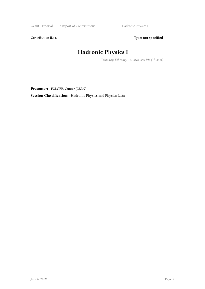Geant4 Tutorial / Report of Contributions Hadronic Physics I

Contribution ID: 8 Type: **not specified** 

# **Hadronic Physics I**

*Thursday, February 18, 2010 2:00 PM (1h 30m)*

**Presenter:** FOLGER, Gunter (CERN)

**Session Classification:** Hadronic Physics and Physics Lists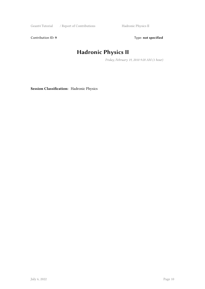Geant4 Tutorial / Report of Contributions Hadronic Physics II

Contribution ID: 9 Type: **not specified** 

# **Hadronic Physics II**

*Friday, February 19, 2010 9:20 AM (1 hour)*

**Session Classification:** Hadronic Physics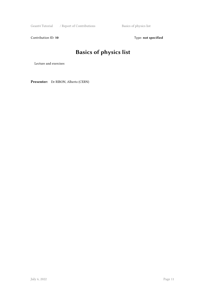Geant4 Tutorial / Report of Contributions Basics of physics list

Contribution ID: 10 **Type:** not specified

# **Basics of physics list**

Lecture and exercises

**Presenter:** Dr RIBON, Alberto (CERN)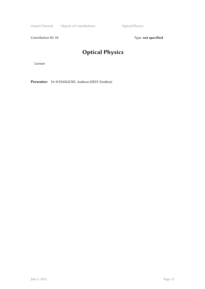Geant4 Tutorial / Report of Contributions Optical Physics

Contribution ID: 11 Type: **not specified** 

# **Optical Physics**

Lecture

**Presenter:** Dr SCHAELICKE, Andreas (DESY Zeuthen)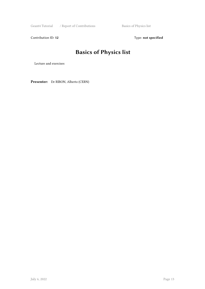Geant4 Tutorial / Report of Contributions Basics of Physics list

Contribution ID: 12 Type: **not specified** 

# **Basics of Physics list**

Lecture and exercises

**Presenter:** Dr RIBON, Alberto (CERN)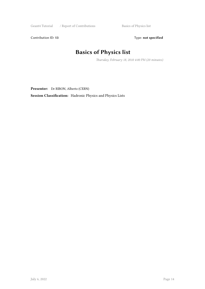Geant4 Tutorial / Report of Contributions Basics of Physics list

Contribution ID: 13 Type: **not specified** 

# **Basics of Physics list**

*Thursday, February 18, 2010 4:00 PM (20 minutes)*

**Presenter:** Dr RIBON, Alberto (CERN)

**Session Classification:** Hadronic Physics and Physics Lists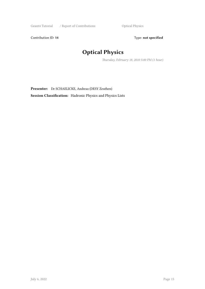Contribution ID: 14 Type: **not specified** 

# **Optical Physics**

*Thursday, February 18, 2010 5:00 PM (1 hour)*

**Presenter:** Dr SCHAELICKE, Andreas (DESY Zeuthen)

**Session Classification:** Hadronic Physics and Physics Lists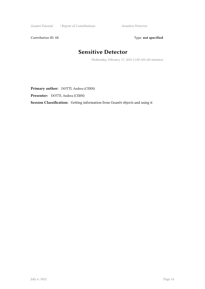Geant4 Tutorial / Report of Contributions Sensitive Detector

Contribution ID: 15 Type: **not specified** 

#### **Sensitive Detector**

*Wednesday, February 17, 2010 11:00 AM (40 minutes)*

**Primary author:** DOTTI, Andrea (CERN)

**Presenter:** DOTTI, Andrea (CERN)

**Session Classification:** Getting information from Geant4 objects and using it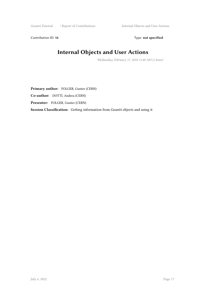Contribution ID: 16 Type: **not specified** 

# **Internal Objects and User Actions**

*Wednesday, February 17, 2010 11:40 AM (1 hour)*

**Primary author:** FOLGER, Gunter (CERN) **Co-author:** DOTTI, Andrea (CERN) **Presenter:** FOLGER, Gunter (CERN) **Session Classification:** Getting information from Geant4 objects and using it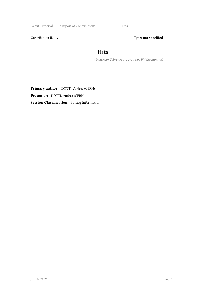Geant4 Tutorial / Report of Contributions Hits

Contribution ID: 17 Type: **not specified** 

#### **Hits**

*Wednesday, February 17, 2010 4:00 PM (20 minutes)*

**Primary author:** DOTTI, Andrea (CERN) **Presenter:** DOTTI, Andrea (CERN) **Session Classification:** Saving information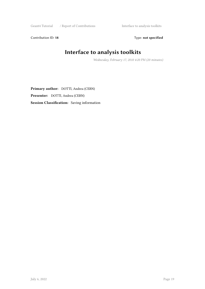Geant4 Tutorial / Report of Contributions Interface to analysis toolkits

Contribution ID: 18 Type: not specified

# **Interface to analysis toolkits**

*Wednesday, February 17, 2010 4:20 PM (20 minutes)*

**Primary author:** DOTTI, Andrea (CERN) **Presenter:** DOTTI, Andrea (CERN) **Session Classification:** Saving information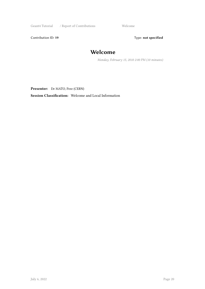Geant4 Tutorial / Report of Contributions Welcome

Contribution ID: 19 Type: **not specified** 

#### **Welcome**

*Monday, February 15, 2010 2:00 PM (10 minutes)*

**Presenter:** Dr MATO, Pere (CERN)

**Session Classification:** Welcome and Local Information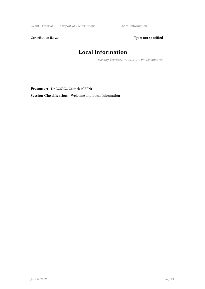Geant4 Tutorial / Report of Contributions Local Information

Contribution ID: 20 Type: **not specified** 

# **Local Information**

*Monday, February 15, 2010 2:10 PM (20 minutes)*

**Presenter:** Dr COSMO, Gabriele (CERN)

**Session Classification:** Welcome and Local Information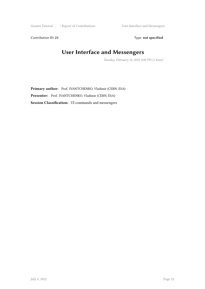Geant4 Tutorial / Report of Contributions User Interface and Messengers

Contribution ID: 21 Type: **not specified** 

# **User Interface and Messengers**

*Tuesday, February 16, 2010 4:00 PM (1 hour)*

**Primary author:** Prof. IVANTCHENKO, Vladimir (CERN, ESA) **Presenter:** Prof. IVANTCHENKO, Vladimir (CERN, ESA) **Session Classification:** UI commands and messengers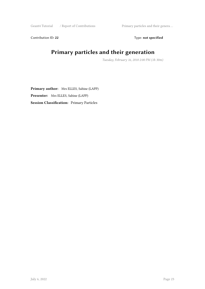Geant4 Tutorial / Report of Contributions Primary particles and their genera ...

Contribution ID: 22 Type: **not specified** 

#### **Primary particles and their generation**

*Tuesday, February 16, 2010 2:00 PM (1h 30m)*

**Primary author:** Mrs ELLES, Sabine (LAPP) **Presenter:** Mrs ELLES, Sabine (LAPP) **Session Classification:** Primary Particles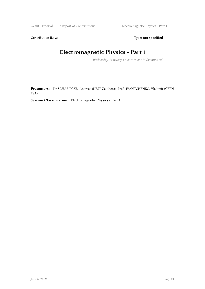Contribution ID: 23 Type: **not specified** 

# **Electromagnetic Physics - Part 1**

*Wednesday, February 17, 2010 9:00 AM (30 minutes)*

**Presenters:** Dr SCHAELICKE, Andreas (DESY Zeuthen); Prof. IVANTCHENKO, Vladimir (CERN, ESA)

**Session Classification:** Electromagnetic Physics - Part 1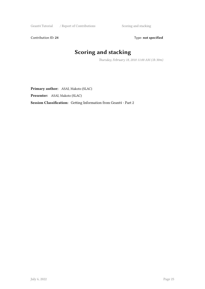Geant4 Tutorial / Report of Contributions Scoring and stacking

Contribution ID: 24 Type: **not specified** 

# **Scoring and stacking**

*Thursday, February 18, 2010 11:00 AM (1h 30m)*

**Primary author:** ASAI, Makoto (SLAC)

**Presenter:** ASAI, Makoto (SLAC)

**Session Classification:** Getting Information from Geant4 - Part 2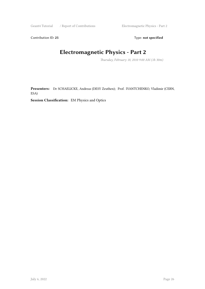Contribution ID: 25 Type: **not specified** 

# **Electromagnetic Physics - Part 2**

*Thursday, February 18, 2010 9:00 AM (1h 30m)*

**Presenters:** Dr SCHAELICKE, Andreas (DESY Zeuthen); Prof. IVANTCHENKO, Vladimir (CERN, ESA)

**Session Classification:** EM Physics and Optics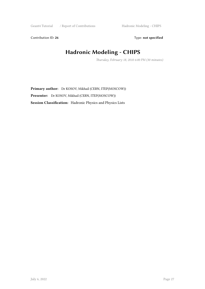Contribution ID: 26 Type: **not specified** 

# **Hadronic Modeling - CHIPS**

*Thursday, February 18, 2010 6:00 PM (30 minutes)*

**Primary author:** Dr KOSOV, Mikhail (CERN, ITEP(MOSCOW)) **Presenter:** Dr KOSOV, Mikhail (CERN, ITEP(MOSCOW)) **Session Classification:** Hadronic Physics and Physics Lists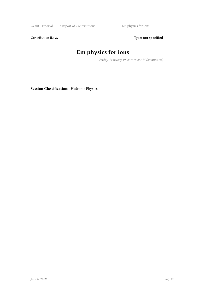Geant4 Tutorial / Report of Contributions Em physics for ions

Contribution ID: 27 Type: **not specified** 

# **Em physics for ions**

*Friday, February 19, 2010 9:00 AM (20 minutes)*

**Session Classification:** Hadronic Physics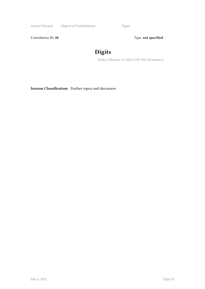Geant4 Tutorial / Report of Contributions Digits

Contribution ID: 28 Type: **not specified** 

# **Digits**

*Friday, February 19, 2010 11:00 AM (10 minutes)*

**Session Classification:** Further topics and discussion